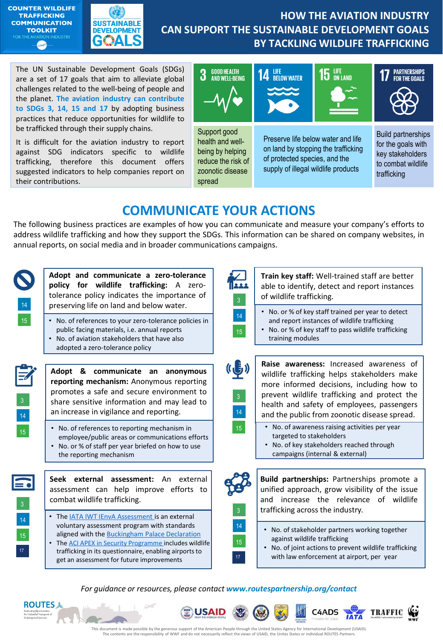



## **HOW THE AVIATION INDUSTRY CAN SUPPORT THE SUSTAINABLE DEVELOPMENT GOALS BY TACKLING WILDLIFE TRAFFICKING**

The UN Sustainable Development Goals (SDGs) are a set of 17 goals that aim to alleviate global challenges related to the well-being of people and the planet. **The aviation industry can contribute to SDGs 3, 14, 15 and 17** by adopting business practices that reduce opportunities for wildlife to be trafficked through their supply chains.

It is difficult for the aviation industry to report against SDG indicators specific to wildlife trafficking, therefore this document offers suggested indicators to help companies report on their contributions.



# **COMMUNICATE YOUR ACTIONS**

The following business practices are examples of how you can communicate and measure your company's efforts to address wildlife trafficking and how they support the SDGs. This information can be shared on company websites, in annual reports, on social media and in broader communications campaigns.



*For guidance or resources, please contact www.routespartnership.org/contact*

**USAID** 





ЖĪ

C4ADS

**TRAFFIC** 

**Kij**